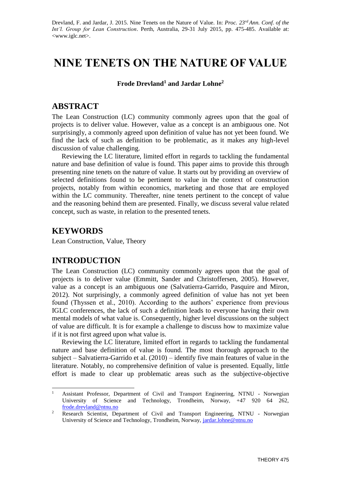Drevland, F. and Jardar, J. 2015. Nine Tenets on the Nature of Value. In: *Proc. 23rd Ann. Conf. of the Int'l. Group for Lean Construction*. Perth, Australia, 29-31 July 2015, pp. 475-485. Available at: <www.iglc.net>.

# **NINE TENETS ON THE NATURE OF VALUE**

**Frode Drevland<sup>1</sup> and Jardar Lohne<sup>2</sup>**

# **ABSTRACT**

The Lean Construction (LC) community commonly agrees upon that the goal of projects is to deliver value. However, value as a concept is an ambiguous one. Not surprisingly, a commonly agreed upon definition of value has not yet been found. We find the lack of such as definition to be problematic, as it makes any high-level discussion of value challenging.

Reviewing the LC literature, limited effort in regards to tackling the fundamental nature and base definition of value is found. This paper aims to provide this through presenting nine tenets on the nature of value. It starts out by providing an overview of selected definitions found to be pertinent to value in the context of construction projects, notably from within economics, marketing and those that are employed within the LC community. Thereafter, nine tenets pertinent to the concept of value and the reasoning behind them are presented. Finally, we discuss several value related concept, such as waste, in relation to the presented tenets.

# **KEYWORDS**

Lean Construction, Value, Theory

# **INTRODUCTION**

The Lean Construction (LC) community commonly agrees upon that the goal of projects is to deliver value (Emmitt, Sander and Christoffersen, 2005). However, value as a concept is an ambiguous one (Salvatierra-Garrido, Pasquire and Miron, 2012). Not surprisingly, a commonly agreed definition of value has not yet been found (Thyssen et al., 2010). According to the authors' experience from previous IGLC conferences, the lack of such a definition leads to everyone having their own mental models of what value is. Consequently, higher level discussions on the subject of value are difficult. It is for example a challenge to discuss how to maximize value if it is not first agreed upon what value is.

Reviewing the LC literature, limited effort in regards to tackling the fundamental nature and base definition of value is found. The most thorough approach to the subject – Salvatierra-Garrido et al. (2010) – identify five main features of value in the literature. Notably, no comprehensive definition of value is presented. Equally, little effort is made to clear up problematic areas such as the subjective-objective

 $\mathbf{1}$ <sup>1</sup> Assistant Professor, Department of Civil and Transport Engineering, NTNU - Norwegian University of Science and Technology, Trondheim, Norway, +47 920 64 262, [frode.drevland@ntnu.no](mailto:frode.drevland@ntnu.no)

<sup>2</sup> Research Scientist, Department of Civil and Transport Engineering, NTNU - Norwegian University of Science and Technology, Trondheim, Norway, [jardar.lohne@ntnu.no](mailto:jardar.lohne@ntnu.no)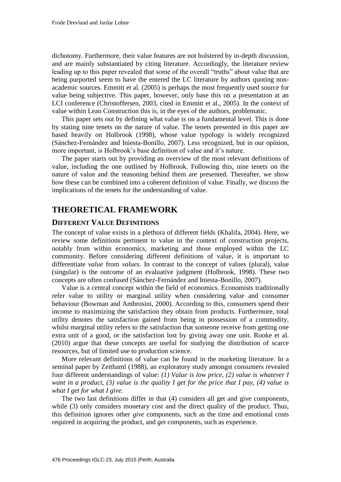dichotomy. Furthermore, their value features are not bolstered by in-depth discussion, and are mainly substantiated by citing literature. Accordingly, the literature review leading up to this paper revealed that some of the overall "truths" about value that are being purported seem to have the entered the LC literature by authors quoting nonacademic sources. Emmitt et al. (2005) is perhaps the most frequently used source for value being subjective. This paper, however, only base this on a presentation at an LCI conference (Christoffersen, 2003, cited in Emmitt et al., 2005). In the context of value within Lean Construction this is, in the eyes of the authors, problematic.

This paper sets out by defining what value is on a fundamental level. This is done by stating nine tenets on the nature of value. The tenets presented in this paper are based heavily on Holbrook (1998), whose value typology is widely recognized (Sánchez-Fernández and Iniesta-Bonillo, 2007). Less recognized, but in our opinion, more important, is Holbrook's base definition of value and it's nature.

The paper starts out by providing an overview of the most relevant definitions of value, including the one outlined by Holbrook. Following this, nine tenets on the nature of value and the reasoning behind them are presented. Thereafter, we show how these can be combined into a coherent definition of value. Finally, we discuss the implications of the tenets for the understanding of value.

# **THEORETICAL FRAMEWORK**

# **DIFFERENT VALUE DEFINITIONS**

The concept of value exists in a plethora of different fields (Khalifa, 2004). Here, we review some definitions pertinent to value in the context of construction projects, notably from within economics, marketing and those employed within the LC community. Before considering different definitions of value, it is important to differentiate *value* from *values.* In contrast to the concept of values (plural), value (singular) is the outcome of an evaluative judgment (Holbrook, 1998). These two concepts are often confused (Sánchez-Fernández and Iniesta-Bonillo, 2007).

Value is a central concept within the field of economics. Economists traditionally refer value to utility or marginal utility when considering value and consumer behaviour (Bowman and Ambrosini, 2000). According to this, consumers spend their income to maximizing the satisfaction they obtain from products. Furthermore, total utility denotes the satisfaction gained from being in possession of a commodity, whilst marginal utility refers to the satisfaction that someone receive from getting one extra unit of a good, or the satisfaction lost by giving away one unit. Rooke et al. (2010) argue that these concepts are useful for studying the distribution of scarce resources, but of limited use to production science.

More relevant definitions of value can be found in the marketing literature. In a seminal paper by Zeithaml (1988), an exploratory study amongst consumers revealed four different understandings of value: *(1) Value is low price, (2) value is whatever I want in a product, (3) value is the quality I get for the price that I pay, (4) value is what I get for what I give.* 

The two last definitions differ in that (4) considers all get and give components, while (3) only considers monetary cost and the direct quality of the product. Thus, this definition ignores other *give* components, such as the time and emotional costs required in acquiring the product, and *get* components, such as experience.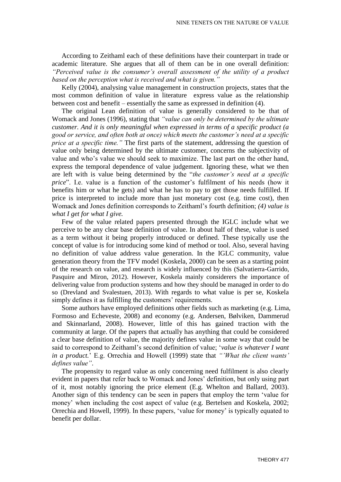According to Zeithaml each of these definitions have their counterpart in trade or academic literature. She argues that all of them can be in one overall definition: *"Perceived value is the consumer's overall assessment of the utility of a product based on the perception what is received and what is given."*

Kelly (2004), analysing value management in construction projects, states that the most common definition of value in literature express value as the relationship between cost and benefit – essentially the same as expressed in definition (4).

The original Lean definition of value is generally considered to be that of Womack and Jones (1996), stating that *"value can only be determined by the ultimate customer. And it is only meaningful when expressed in terms of a specific product (a good or service, and often both at once) which meets the customer's need at a specific price at a specific time."* The first parts of the statement, addressing the question of value only being determined by the ultimate customer, concerns the subjectivity of value and who's value we should seek to maximize. The last part on the other hand, express the temporal dependence of value judgement. Ignoring these, what we then are left with is value being determined by the "*the customer's need at a specific price*". I.e. value is a function of the customer's fulfilment of his needs (how it benefits him or what he gets) and what he has to pay to get those needs fulfilled. If price is interpreted to include more than just monetary cost (e.g. time cost), then Womack and Jones definition corresponds to Zeithaml's fourth definition; *(4) value is what I get for what I give.*

Few of the value related papers presented through the IGLC include what we perceive to be any clear base definition of value. In about half of these, value is used as a term without it being properly introduced or defined. These typically use the concept of value is for introducing some kind of method or tool. Also, several having no definition of value address value generation. In the IGLC community, value generation theory from the TFV model (Koskela, 2000) can be seen as a starting point of the research on value, and research is widely influenced by this (Salvatierra-Garrido, Pasquire and Miron, 2012). However, Koskela mainly considerers the importance of delivering value from production systems and how they should be managed in order to do so (Drevland and Svalestuen, 2013). With regards to what value is per se, Koskela simply defines it as fulfilling the customers' requirements.

Some authors have employed definitions other fields such as marketing (e.g. Lima, Formoso and Echeveste, 2008) and economy (e.g. Andersen, Bølviken, Dammerud and Skinnarland, 2008). However, little of this has gained traction with the community at large. Of the papers that actually has anything that could be considered a clear base definition of value, the majority defines value in some way that could be said to correspond to Zeithaml's second definition of value; '*value is whatever I want in a product.*' E.g. Orrechia and Howell (1999) state that *"'What the client wants' defines value"*.

The propensity to regard value as only concerning need fulfilment is also clearly evident in papers that refer back to Womack and Jones' definition, but only using part of it, most notably ignoring the price element (E.g. Whelton and Ballard, 2003). Another sign of this tendency can be seen in papers that employ the term 'value for money' when including the cost aspect of value (e.g. Bertelsen and Koskela, 2002; Orrechia and Howell, 1999). In these papers, 'value for money' is typically equated to benefit per dollar.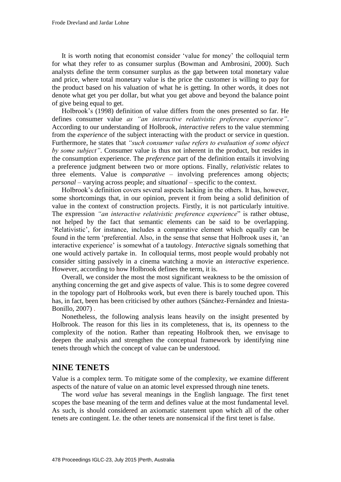It is worth noting that economist consider 'value for money' the colloquial term for what they refer to as consumer surplus (Bowman and Ambrosini, 2000). Such analysts define the term consumer surplus as the gap between total monetary value and price, where total monetary value is the price the customer is willing to pay for the product based on his valuation of what he is getting. In other words, it does not denote what get you per dollar, but what you get above and beyond the balance point of give being equal to get.

Holbrook's (1998) definition of value differs from the ones presented so far. He defines consumer value *as "an interactive relativistic preference experience"*. According to our understanding of Holbrook, *interactive* refers to the value stemming from the *experience* of the subject interacting with the product or service in question. Furthermore, he states that *"such consumer value refers to evaluation of some object by some subject"*. Consumer value is thus not inherent in the product, but resides in the consumption experience. The *preference* part of the definition entails it involving a preference judgment between two or more options. Finally, *relativistic* relates to three elements. Value is *comparative* – involving preferences among objects; *personal* – varying across people; and *situational* – specific to the context.

Holbrook's definition covers several aspects lacking in the others. It has, however, some shortcomings that, in our opinion, prevent it from being a solid definition of value in the context of construction projects. Firstly, it is not particularly intuitive. The expression *"an interactive relativistic preference experience*" is rather obtuse, not helped by the fact that semantic elements can be said to be overlapping. 'Relativistic', for instance, includes a comparative element which equally can be found in the term 'preferential. Also, in the sense that sense that Holbrook uses it, 'an interactive experience' is somewhat of a tautology. *Interactive* signals something that one would actively partake in. In colloquial terms, most people would probably not consider sitting passively in a cinema watching a movie an *interactive* experience. However, according to how Holbrook defines the term, it is.

Overall, we consider the most the most significant weakness to be the omission of anything concerning the get and give aspects of value. This is to some degree covered in the topology part of Holbrooks work, but even there is barely touched upon. This has, in fact, been has been criticised by other authors (Sánchez-Fernández and Iniesta-Bonillo, 2007) .

Nonetheless, the following analysis leans heavily on the insight presented by Holbrook. The reason for this lies in its completeness, that is, its openness to the complexity of the notion. Rather than repeating Holbrook then, we envisage to deepen the analysis and strengthen the conceptual framework by identifying nine tenets through which the concept of value can be understood.

# **NINE TENETS**

Value is a complex term. To mitigate some of the complexity, we examine different aspects of the nature of value on an atomic level expressed through nine tenets.

The word *value* has several meanings in the English language. The first tenet scopes the base meaning of the term and defines value at the most fundamental level. As such, is should considered an axiomatic statement upon which all of the other tenets are contingent. I.e. the other tenets are nonsensical if the first tenet is false.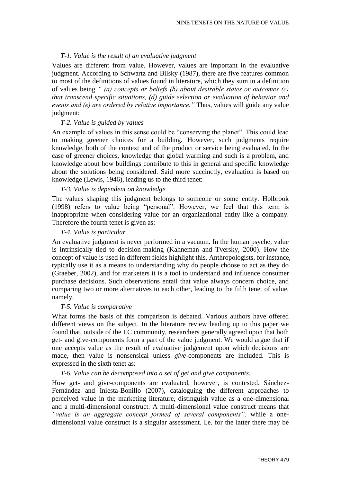# *T-1. Value is the result of an evaluative judgment*

Values are different from value. However, values are important in the evaluative judgment. According to Schwartz and Bilsky (1987), there are five features common to most of the definitions of values found in literature, which they sum in a definition of values being *" (a) concepts or beliefs (b) about desirable states or outcomes (c) that transcend specific situations, (d) guide selection or evaluation of behavior and events and (e) are ordered by relative importance."* Thus, values will guide any value judgment:

## *T-2. Value is guided by values*

An example of values in this sense could be "conserving the planet". This could lead to making greener choices for a building. However, such judgments require knowledge, both of the context and of the product or service being evaluated. In the case of greener choices, knowledge that global warming and such is a problem, and knowledge about how buildings contribute to this in general and specific knowledge about the solutions being considered. Said more succinctly, evaluation is based on knowledge (Lewis, 1946), leading us to the third tenet:

# *T-3. Value is dependent on knowledge*

The values shaping this judgment belongs to someone or some entity. Holbrook (1998) refers to value being "personal". However, we feel that this term is inappropriate when considering value for an organizational entity like a company. Therefore the fourth tenet is given as:

# *T-4. Value is particular*

An evaluative judgment is never performed in a vacuum. In the human psyche, value is intrinsically tied to decision-making (Kahneman and Tversky, 2000). How the concept of value is used in different fields highlight this. Anthropologists, for instance, typically use it as a means to understanding why do people choose to act as they do (Graeber, 2002), and for marketers it is a tool to understand and influence consumer purchase decisions. Such observations entail that value always concern choice, and comparing two or more alternatives to each other, leading to the fifth tenet of value, namely.

### *T-5. Value is comparative*

What forms the basis of this comparison is debated. Various authors have offered different views on the subject. In the literature review leading up to this paper we found that, outside of the LC community, researchers generally agreed upon that both get- and give-components form a part of the value judgment. We would argue that if one accepts value as the result of evaluative judgement upon which decisions are made, then value is nonsensical unless *give*-components are included. This is expressed in the sixth tenet as:

### *T-6. Value can be decomposed into a set of get and give components.*

How get- and give-components are evaluated, however, is contested. Sánchez-Fernández and Iniesta-Bonillo (2007), cataloguing the different approaches to perceived value in the marketing literature, distinguish value as a one-dimensional and a multi-dimensional construct. A multi-dimensional value construct means that *"value is an aggregate concept formed of several components",* while a onedimensional value construct is a singular assessment. I.e. for the latter there may be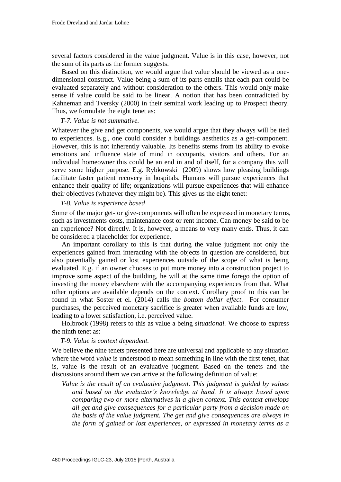several factors considered in the value judgment. Value is in this case, however, not the sum of its parts as the former suggests.

Based on this distinction, we would argue that value should be viewed as a onedimensional construct. Value being a sum of its parts entails that each part could be evaluated separately and without consideration to the others. This would only make sense if value could be said to be linear. A notion that has been contradicted by Kahneman and Tversky (2000) in their seminal work leading up to Prospect theory. Thus, we formulate the eight tenet as:

#### *T-7. Value is not summative.*

Whatever the give and get components, we would argue that they always will be tied to experiences. E.g., one could consider a buildings aesthetics as a get-component. However, this is not inherently valuable. Its benefits stems from its ability to evoke emotions and influence state of mind in occupants, visitors and others. For an individual homeowner this could be an end in and of itself, for a company this will serve some higher purpose. E.g. Rybkowski (2009) shows how pleasing buildings facilitate faster patient recovery in hospitals. Humans will pursue experiences that enhance their quality of life; organizations will pursue experiences that will enhance their objectives (whatever they might be). This gives us the eight tenet:

### *T-8. Value is experience based*

Some of the major get- or give-components will often be expressed in monetary terms, such as investments costs, maintenance cost or rent income. Can money be said to be an experience? Not directly. It is, however, a means to very many ends. Thus, it can be considered a placeholder for experience.

An important corollary to this is that during the value judgment not only the experiences gained from interacting with the objects in question are considered, but also potentially gained or lost experiences outside of the scope of what is being evaluated. E.g. if an owner chooses to put more money into a construction project to improve some aspect of the building, he will at the same time forego the option of investing the money elsewhere with the accompanying experiences from that. What other options are available depends on the context. Corollary proof to this can be found in what Soster et el. (2014) calls the *bottom dollar effect*. For consumer purchases, the perceived monetary sacrifice is greater when available funds are low, leading to a lower satisfaction, i.e. perceived value.

Holbrook (1998) refers to this as value a being *situational.* We choose to express the ninth tenet as:

### *T-9. Value is context dependent.*

We believe the nine tenets presented here are universal and applicable to any situation where the word *value* is understood to mean something in line with the first tenet, that is, value is the result of an evaluative judgment. Based on the tenets and the discussions around them we can arrive at the following definition of value:

*Value is the result of an evaluative judgment. This judgment is guided by values and based on the evaluator's knowledge at hand. It is always based upon comparing two or more alternatives in a given context. This context envelops all get and give consequences for a particular party from a decision made on the basis of the value judgment. The get and give consequences are always in the form of gained or lost experiences, or expressed in monetary terms as a*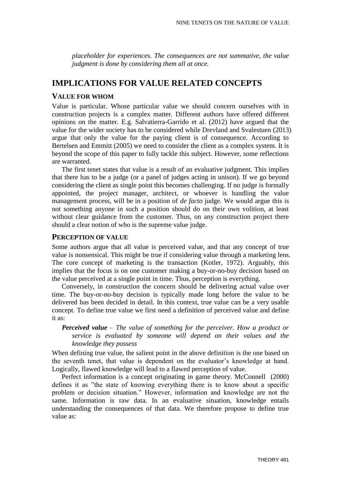*placeholder for experiences. The consequences are not summative, the value judgment is done by considering them all at once.*

# **IMPLICATIONS FOR VALUE RELATED CONCEPTS**

# **VALUE FOR WHOM**

Value is particular. Whose particular value we should concern ourselves with in construction projects is a complex matter. Different authors have offered different opinions on the matter. E.g. Salvatierra-Garrido et al. (2012) have argued that the value for the wider society has to be considered while Drevland and Svalestuen (2013) argue that only the value for the paying client is of consequence. According to Bertelsen and Emmitt (2005) we need to consider the client as a complex system. It is beyond the scope of this paper to fully tackle this subject. However, some reflections are warranted.

The first tenet states that value is a result of an evaluative judgment. This implies that there has to be a judge (or a panel of judges acting in unison). If we go beyond considering the client as single point this becomes challenging. If no judge is formally appointed, the project manager, architect, or whoever is handling the value management process, will be in a position of *de facto* judge. We would argue this is not something anyone in such a position should do on their own volition, at least without clear guidance from the customer. Thus, on any construction project there should a clear notion of who is the supreme value judge.

### **PERCEPTION OF VALUE**

Some authors argue that all value is perceived value, and that any concept of true value is nonsensical. This might be true if considering value through a marketing lens. The core concept of marketing is the transaction (Kotler, 1972). Arguably, this implies that the focus is on one customer making a buy-or-no-buy decision based on the value perceived at a single point in time. Thus, perception is everything.

Conversely, in construction the concern should be delivering actual value over time. The buy-or-no-buy decision is typically made long before the value to be delivered has been decided in detail. In this context, true value can be a very usable concept. To define true value we first need a definition of perceived value and define it as:

# *Perceived value – The value of something for the perceiver. How a product or service is evaluated by someone will depend on their values and the knowledge they possess*

When defining true value, the salient point in the above definition is the one based on the seventh tenet, that value is dependent on the evaluator's knowledge at hand. Logically, flawed knowledge will lead to a flawed perception of value.

Perfect information is a concept originating in game theory. McConnell (2000) defines it as "the state of knowing everything there is to know about a specific problem or decision situation." However, information and knowledge are not the same. Information is raw data. In an evaluative situation, knowledge entails understanding the consequences of that data. We therefore propose to define true value as: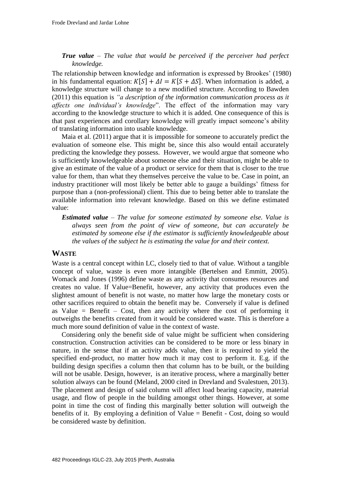# *True value – The value that would be perceived if the perceiver had perfect knowledge.*

The relationship between knowledge and information is expressed by Brookes' (1980) in his fundamental equation:  $K[S] + \Delta I = K[S + \Delta S]$ . When information is added, a knowledge structure will change to a new modified structure. According to Bawden (2011) this equation is *"a description of the information communication process as it affects one individual's knowledge*". The effect of the information may vary according to the knowledge structure to which it is added. One consequence of this is that past experiences and corollary knowledge will greatly impact someone's ability of translating information into usable knowledge.

Maia et al. (2011) argue that it is impossible for someone to accurately predict the evaluation of someone else. This might be, since this also would entail accurately predicting the knowledge they possess. However, we would argue that someone who is sufficiently knowledgeable about someone else and their situation, might be able to give an estimate of the value of a product or service for them that is closer to the true value for them, than what they themselves perceive the value to be. Case in point, an industry practitioner will most likely be better able to gauge a buildings' fitness for purpose than a (non-professional) client. This due to being better able to translate the available information into relevant knowledge. Based on this we define estimated value:

*Estimated value – The value for someone estimated by someone else. Value is always seen from the point of view of someone, but can accurately be estimated by someone else if the estimator is sufficiently knowledgeable about the values of the subject he is estimating the value for and their context.*

# **WASTE**

Waste is a central concept within LC, closely tied to that of value. Without a tangible concept of value, waste is even more intangible (Bertelsen and Emmitt, 2005). Womack and Jones (1996) define waste as any activity that consumes resources and creates no value. If Value=Benefit, however, any activity that produces even the slightest amount of benefit is not waste, no matter how large the monetary costs or other sacrifices required to obtain the benefit may be. Conversely if value is defined as Value  $=$  Benefit  $-$  Cost, then any activity where the cost of performing it outweighs the benefits created from it would be considered waste. This is therefore a much more sound definition of value in the context of waste.

Considering only the benefit side of value might be sufficient when considering construction. Construction activities can be considered to be more or less binary in nature, in the sense that if an activity adds value, then it is required to yield the specified end-product, no matter how much it may cost to perform it. E.g. if the building design specifies a column then that column has to be built, or the building will not be usable. Design, however, is an iterative process, where a marginally better solution always can be found (Meland, 2000 cited in Drevland and Svalestuen, 2013). The placement and design of said column will affect load bearing capacity, material usage, and flow of people in the building amongst other things. However, at some point in time the cost of finding this marginally better solution will outweigh the benefits of it. By employing a definition of Value = Benefit - Cost, doing so would be considered waste by definition.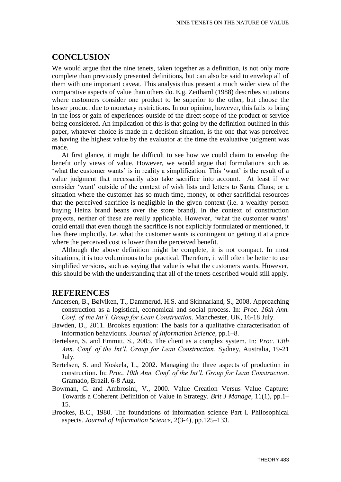# **CONCLUSION**

We would argue that the nine tenets, taken together as a definition, is not only more complete than previously presented definitions, but can also be said to envelop all of them with one important caveat. This analysis thus present a much wider view of the comparative aspects of value than others do. E.g. Zeithaml (1988) describes situations where customers consider one product to be superior to the other, but choose the lesser product due to monetary restrictions. In our opinion, however, this fails to bring in the loss or gain of experiences outside of the direct scope of the product or service being considered. An implication of this is that going by the definition outlined in this paper, whatever choice is made in a decision situation, is the one that was perceived as having the highest value by the evaluator at the time the evaluative judgment was made.

At first glance, it might be difficult to see how we could claim to envelop the benefit only views of value. However, we would argue that formulations such as 'what the customer wants' is in reality a simplification. This 'want' is the result of a value judgment that necessarily also take sacrifice into account. At least if we consider 'want' outside of the context of wish lists and letters to Santa Claus; or a situation where the customer has so much time, money, or other sacrificial resources that the perceived sacrifice is negligible in the given context (i.e. a wealthy person buying Heinz brand beans over the store brand). In the context of construction projects, neither of these are really applicable. However, 'what the customer wants' could entail that even though the sacrifice is not explicitly formulated or mentioned, it lies there implicitly. I.e. what the customer wants is contingent on getting it at a price where the perceived cost is lower than the perceived benefit.

Although the above definition might be complete, it is not compact. In most situations, it is too voluminous to be practical. Therefore, it will often be better to use simplified versions, such as saying that value is what the customers wants. However, this should be with the understanding that all of the tenets described would still apply.

# **REFERENCES**

- Andersen, B., Bølviken, T., Dammerud, H.S. and Skinnarland, S., 2008. Approaching construction as a logistical, economical and social process. In: *Proc. 16th Ann. Conf. of the Int'l. Group for Lean Construction*. Manchester, UK, 16-18 July.
- Bawden, D., 2011. Brookes equation: The basis for a qualitative characterisation of information behaviours. *Journal of Information Science*, pp.1–8.
- Bertelsen, S. and Emmitt, S., 2005. The client as a complex system. In: *Proc*. *13th Ann. Conf. of the Int'l. Group for Lean Construction*. Sydney, Australia, 19-21 July.
- Bertelsen, S. and Koskela, L., 2002. Managing the three aspects of production in construction. In: *Proc. 10th Ann. Conf. of the Int'l. Group for Lean Construction*. Gramado, Brazil, 6-8 Aug.
- Bowman, C. and Ambrosini, V., 2000. Value Creation Versus Value Capture: Towards a Coherent Definition of Value in Strategy. *Brit J Manage*, 11(1), pp.1– 15.
- Brookes, B.C., 1980. The foundations of information science Part I. Philosophical aspects. *Journal of Information Science*, 2(3-4), pp.125–133.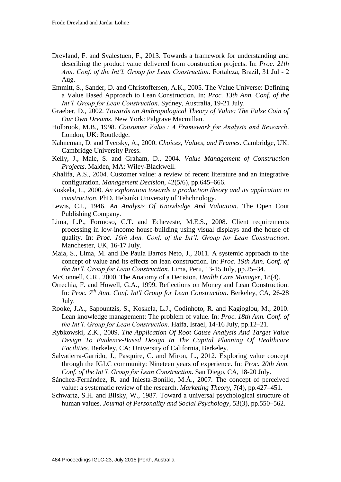- Drevland, F. and Svalestuen, F., 2013. Towards a framework for understanding and describing the product value delivered from construction projects. In: *Proc. 21th Ann. Conf. of the Int'l. Group for Lean Construction*. Fortaleza, Brazil, 31 Jul - 2 Aug.
- Emmitt, S., Sander, D. and Christoffersen, A.K., 2005. The Value Universe: Defining a Value Based Approach to Lean Construction. In: *Proc. 13th Ann. Conf. of the Int'l. Group for Lean Construction*. Sydney, Australia, 19-21 July.
- Graeber, D., 2002. *Towards an Anthropological Theory of Value: The False Coin of Our Own Dreams*. New York: Palgrave Macmillan.
- Holbrook, M.B., 1998. *Consumer Value : A Framework for Analysis and Research*. London, UK: Routledge.
- Kahneman, D. and Tversky, A., 2000. *Choices, Values, and Frames*. Cambridge, UK: Cambridge University Press.
- Kelly, J., Male, S. and Graham, D., 2004. *Value Management of Construction Projects*. Malden, MA: Wiley-Blackwell.
- Khalifa, A.S., 2004. Customer value: a review of recent literature and an integrative configuration. *Management Decision*, 42(5/6), pp.645–666.
- Koskela, L., 2000. *An exploration towards a production theory and its application to construction*. PhD. Helsinki University of Tehchnology.
- Lewis, C.I., 1946. *An Analysis Of Knowledge And Valuation*. The Open Cout Publishing Company.
- Lima, L.P., Formoso, C.T. and Echeveste, M.E.S., 2008. Client requirements processing in low-income house-building using visual displays and the house of quality. In: *Proc. 16th Ann. Conf. of the Int'l. Group for Lean Construction*. Manchester, UK, 16-17 July.
- Maia, S., Lima, M. and De Paula Barros Neto, J., 2011. A systemic approach to the concept of value and its effects on lean construction. In: *Proc. 19th Ann. Conf. of the Int'l. Group for Lean Construction*. Lima, Peru, 13-15 July, pp.25–34.
- McConnell, C.R., 2000. The Anatomy of a Decision. *Health Care Manager*, 18(4).
- Orrechia, F. and Howell, G.A., 1999. Reflections on Money and Lean Construction. In: *Proc. 7th Ann. Conf. Int'l Group for Lean Construction*. Berkeley, CA, 26-28 July.
- Rooke, J.A., Sapountzis, S., Koskela, L.J., Codinhoto, R. and Kagioglou, M., 2010. Lean knowledge management: The problem of value. In: *Proc. 18th Ann. Conf. of the Int'l. Group for Lean Construction*. Haifa, Israel, 14-16 July, pp.12–21.
- Rybkowski, Z.K., 2009. *The Application Of Root Cause Analysis And Target Value Design To Evidence-Based Design In The Capital Planning Of Healthcare Facilities.* Berkeley, CA: University of California, Berkeley.
- Salvatierra-Garrido, J., Pasquire, C. and Miron, L., 2012. Exploring value concept through the IGLC community: Nineteen years of experience. In: *Proc. 20th Ann. Conf. of the Int'l. Group for Lean Construction*. San Diego, CA, 18-20 July.
- Sánchez-Fernández, R. and Iniesta-Bonillo, M.Á., 2007. The concept of perceived value: a systematic review of the research. *Marketing Theory*, 7(4), pp.427–451.
- Schwartz, S.H. and Bilsky, W., 1987. Toward a universal psychological structure of human values. *Journal of Personality and Social Psychology*, 53(3), pp.550–562.